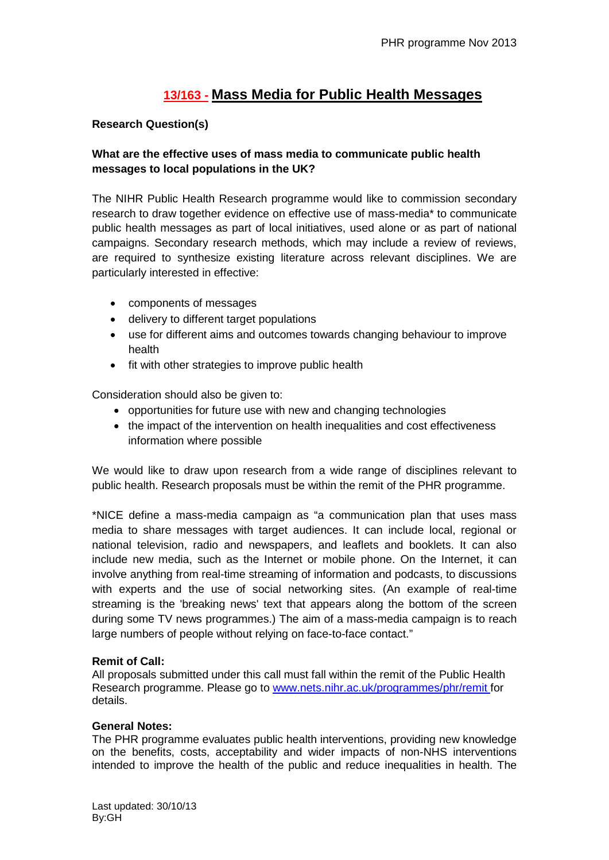# **13/163 - Mass Media for Public Health Messages**

## **Research Question(s)**

# **What are the effective uses of mass media to communicate public health messages to local populations in the UK?**

The NIHR Public Health Research programme would like to commission secondary research to draw together evidence on effective use of mass-media\* to communicate public health messages as part of local initiatives, used alone or as part of national campaigns. Secondary research methods, which may include a review of reviews, are required to synthesize existing literature across relevant disciplines. We are particularly interested in effective:

- components of messages
- delivery to different target populations
- use for different aims and outcomes towards changing behaviour to improve health
- fit with other strategies to improve public health

Consideration should also be given to:

- opportunities for future use with new and changing technologies
- the impact of the intervention on health inequalities and cost effectiveness information where possible

We would like to draw upon research from a wide range of disciplines relevant to public health. Research proposals must be within the remit of the PHR programme.

\*NICE define a mass-media campaign as "a communication plan that uses mass media to share messages with target audiences. It can include local, regional or national television, radio and newspapers, and leaflets and booklets. It can also include new media, such as the Internet or mobile phone. On the Internet, it can involve anything from real-time streaming of information and podcasts, to discussions with experts and the use of social networking sites. (An example of real-time streaming is the 'breaking news' text that appears along the bottom of the screen during some TV news programmes.) The aim of a mass-media campaign is to reach large numbers of people without relying on face-to-face contact."

### **Remit of Call:**

All proposals submitted under this call must fall within the remit of the Public Health Research programme. Please go to [www.nets.nihr.ac.uk/programmes/phr/remit](http://www.nets.nihr.ac.uk/programmes/phr/remit) for details.

### **General Notes:**

The PHR programme evaluates public health interventions, providing new knowledge on the benefits, costs, acceptability and wider impacts of non-NHS interventions intended to improve the health of the public and reduce inequalities in health. The